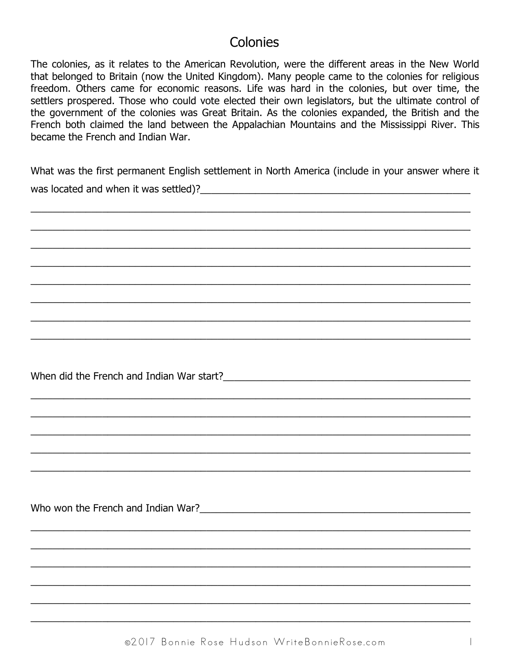## Colonies

The colonies, as it relates to the American Revolution, were the different areas in the New World that belonged to Britain (now the United Kingdom). Many people came to the colonies for religious freedom. Others came for economic reasons. Life was hard in the colonies, but over time, the settlers prospered. Those who could vote elected their own legislators, but the ultimate control of the government of the colonies was Great Britain. As the colonies expanded, the British and the French both claimed the land between the Appalachian Mountains and the Mississippi River. This became the French and Indian War.

What was the first permanent English settlement in North America (include in your answer where it was located and when it was settled)?

When did the French and Indian War start?

Who won the French and Indian War?<br>
<u>
Who won the French and Indian War?</u>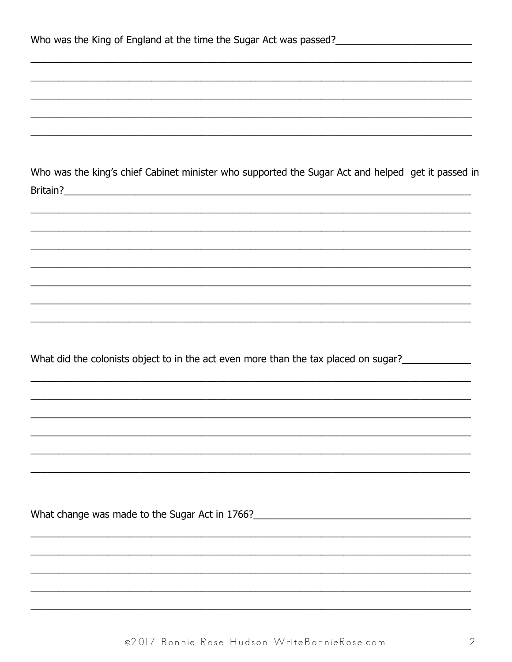| Who was the King of England at the time the Sugar Act was passed?                                 |
|---------------------------------------------------------------------------------------------------|
|                                                                                                   |
|                                                                                                   |
|                                                                                                   |
| Who was the king's chief Cabinet minister who supported the Sugar Act and helped get it passed in |
|                                                                                                   |
|                                                                                                   |
|                                                                                                   |
| What did the colonists object to in the act even more than the tax placed on sugar?               |
|                                                                                                   |
|                                                                                                   |
|                                                                                                   |
| What change was made to the Sugar Act in 1766? __________________________________                 |
|                                                                                                   |
|                                                                                                   |
|                                                                                                   |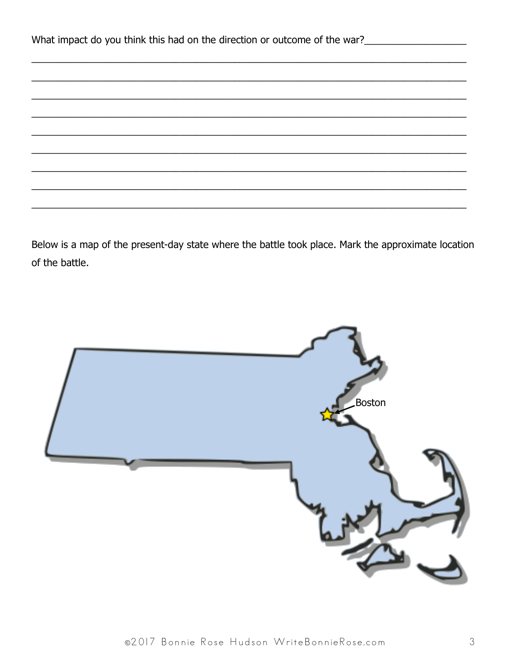| What impact do you think this had on the direction or outcome of the war? |  |  |
|---------------------------------------------------------------------------|--|--|
|                                                                           |  |  |
|                                                                           |  |  |
|                                                                           |  |  |
|                                                                           |  |  |
|                                                                           |  |  |
|                                                                           |  |  |
|                                                                           |  |  |

Below is a map of the present-day state where the battle took place. Mark the approximate location of the battle.